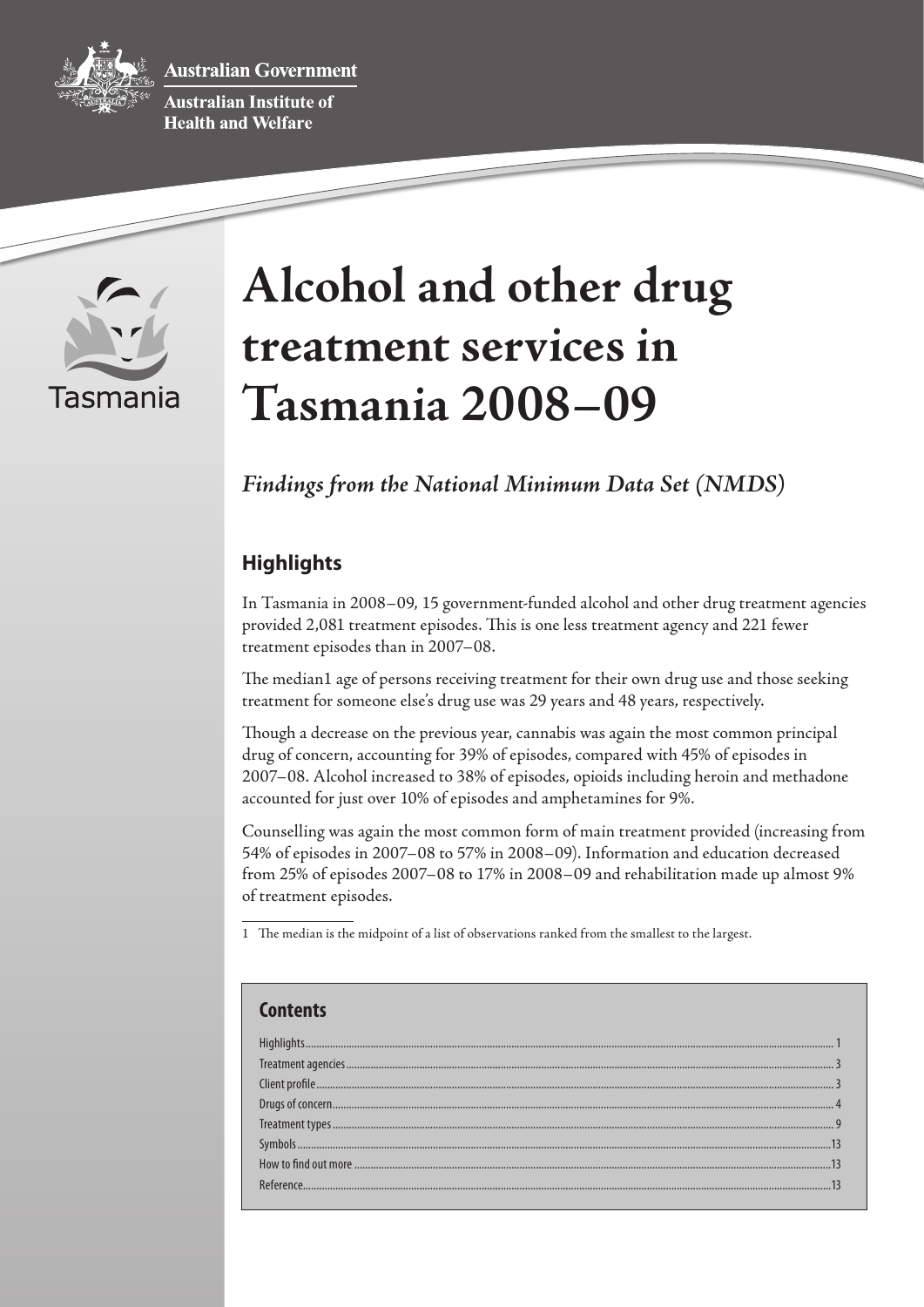**ustralian Government** 



**Australian Institute of Health and Welfare** 



# **Alcohol and other drug treatment services in Tasmania 2008–09**

# *Findings from the National Minimum Data Set (NMDS)*

# **Highlights**

In Tasmania in 2008–09, 15 government-funded alcohol and other drug treatment agencies provided 2,081 treatment episodes. This is one less treatment agency and 221 fewer treatment episodes than in 2007–08.

The median1 age of persons receiving treatment for their own drug use and those seeking treatment for someone else's drug use was 29 years and 48 years, respectively.

Though a decrease on the previous year, cannabis was again the most common principal drug of concern, accounting for 39% of episodes, compared with 45% of episodes in 2007–08. Alcohol increased to 38% of episodes, opioids including heroin and methadone accounted for just over 10% of episodes and amphetamines for 9%.

Counselling was again the most common form of main treatment provided (increasing from 54% of episodes in 2007–08 to 57% in 2008–09). Information and education decreased from 25% of episodes 2007–08 to 17% in 2008–09 and rehabilitation made up almost 9% of treatment episodes.

1 The median is the midpoint of a list of observations ranked from the smallest to the largest.

| Contents |  |
|----------|--|
|          |  |
|          |  |
|          |  |
|          |  |
|          |  |
|          |  |
|          |  |
|          |  |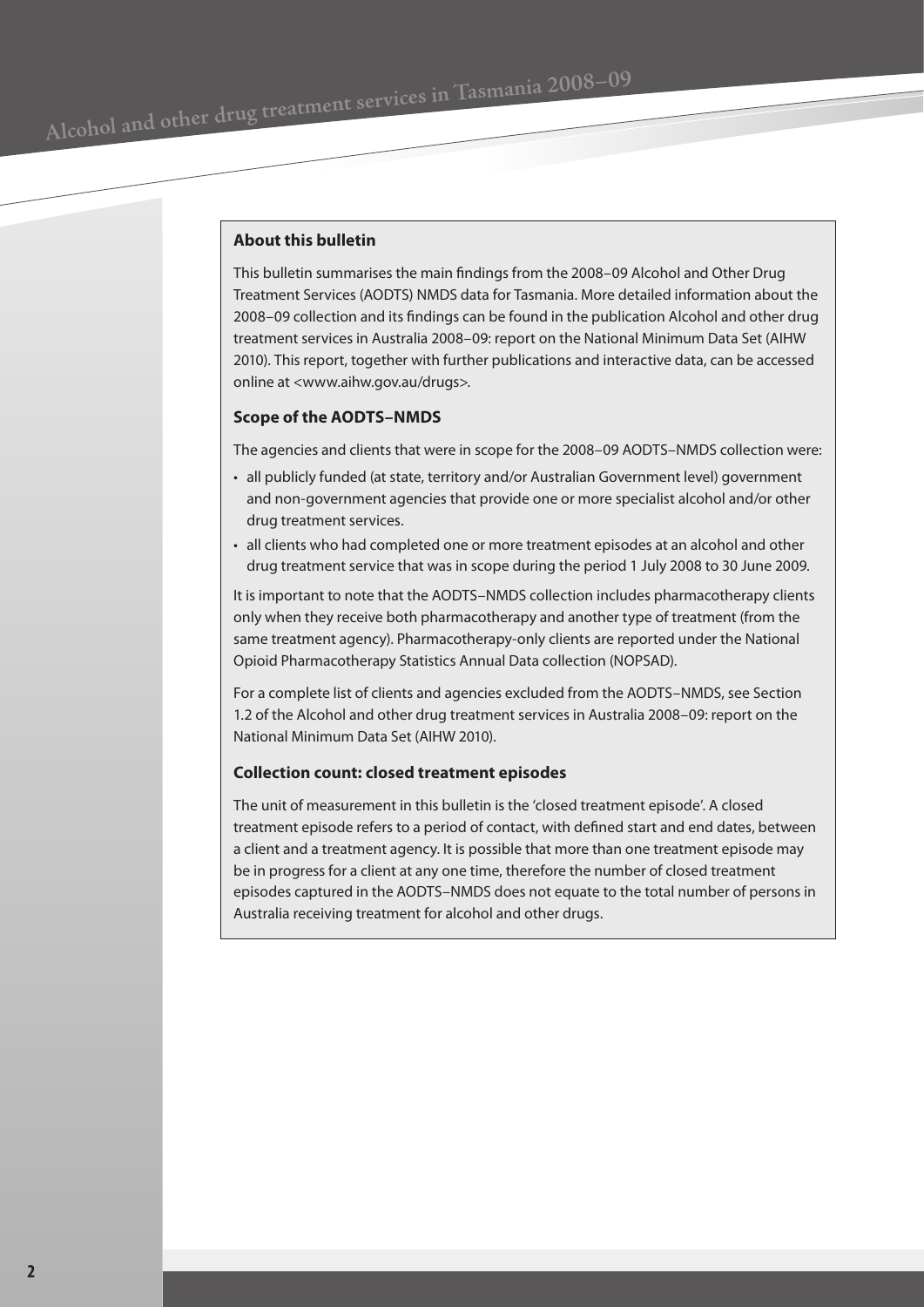#### **About this bulletin**

This bulletin summarises the main findings from the 2008–09 Alcohol and Other Drug Treatment Services (AODTS) NMDS data for Tasmania. More detailed information about the 2008–09 collection and its findings can be found in the publication Alcohol and other drug treatment services in Australia 2008–09: report on the National Minimum Data Set (AIHW 2010). This report, together with further publications and interactive data, can be accessed online at <www.aihw.gov.au/drugs>.

#### **Scope of the AODTS–NMDS**

The agencies and clients that were in scope for the 2008–09 AODTS–NMDS collection were:

- all publicly funded (at state, territory and/or Australian Government level) government and non-government agencies that provide one or more specialist alcohol and/or other drug treatment services.
- all clients who had completed one or more treatment episodes at an alcohol and other drug treatment service that was in scope during the period 1 July 2008 to 30 June 2009.

It is important to note that the AODTS–NMDS collection includes pharmacotherapy clients only when they receive both pharmacotherapy and another type of treatment (from the same treatment agency). Pharmacotherapy-only clients are reported under the National Opioid Pharmacotherapy Statistics Annual Data collection (NOPSAD).

For a complete list of clients and agencies excluded from the AODTS–NMDS, see Section 1.2 of the Alcohol and other drug treatment services in Australia 2008–09: report on the National Minimum Data Set (AIHW 2010).

#### **Collection count: closed treatment episodes**

The unit of measurement in this bulletin is the 'closed treatment episode'. A closed treatment episode refers to a period of contact, with defined start and end dates, between a client and a treatment agency. It is possible that more than one treatment episode may be in progress for a client at any one time, therefore the number of closed treatment episodes captured in the AODTS–NMDS does not equate to the total number of persons in Australia receiving treatment for alcohol and other drugs.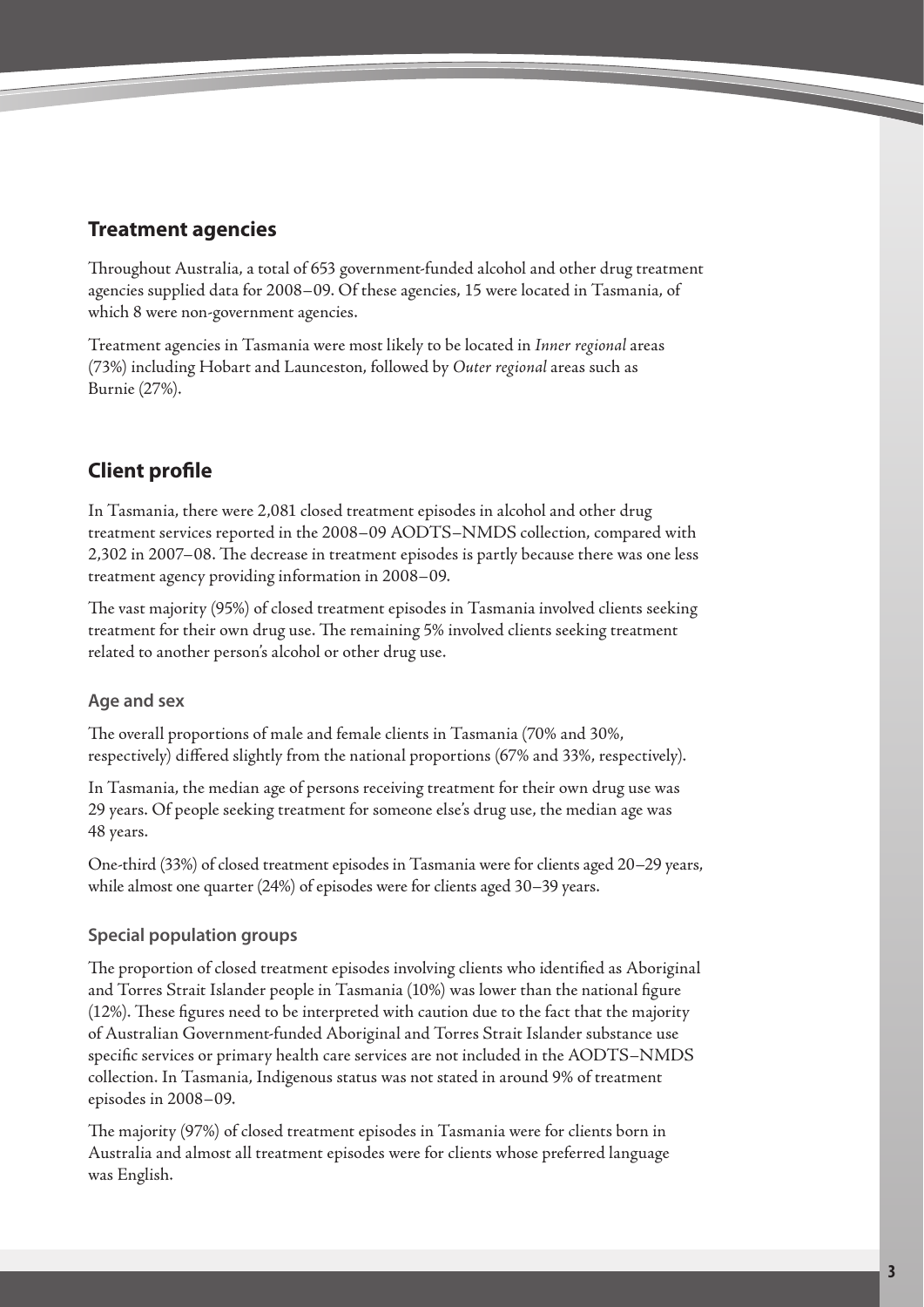# <span id="page-2-0"></span>**Treatment agencies**

Throughout Australia, a total of 653 government-funded alcohol and other drug treatment agencies supplied data for 2008–09. Of these agencies, 15 were located in Tasmania, of which 8 were non-government agencies.

Treatment agencies in Tasmania were most likely to be located in *Inner regional* areas (73%) including Hobart and Launceston, followed by *Outer regional* areas such as Burnie (27%).

# **Client profile**

In Tasmania, there were 2,081 closed treatment episodes in alcohol and other drug treatment services reported in the 2008–09 AODTS–NMDS collection, compared with 2,302 in 2007–08. The decrease in treatment episodes is partly because there was one less treatment agency providing information in 2008–09.

The vast majority (95%) of closed treatment episodes in Tasmania involved clients seeking treatment for their own drug use. The remaining 5% involved clients seeking treatment related to another person's alcohol or other drug use.

## **Age and sex**

The overall proportions of male and female clients in Tasmania (70% and 30%, respectively) differed slightly from the national proportions (67% and 33%, respectively).

In Tasmania, the median age of persons receiving treatment for their own drug use was 29 years. Of people seeking treatment for someone else's drug use, the median age was 48 years.

One-third (33%) of closed treatment episodes in Tasmania were for clients aged 20–29 years, while almost one quarter (24%) of episodes were for clients aged 30–39 years.

## **Special population groups**

The proportion of closed treatment episodes involving clients who identified as Aboriginal and Torres Strait Islander people in Tasmania (10%) was lower than the national figure (12%). These figures need to be interpreted with caution due to the fact that the majority of Australian Government-funded Aboriginal and Torres Strait Islander substance use specific services or primary health care services are not included in the AODTS–NMDS collection. In Tasmania, Indigenous status was not stated in around 9% of treatment episodes in 2008–09.

The majority (97%) of closed treatment episodes in Tasmania were for clients born in Australia and almost all treatment episodes were for clients whose preferred language was English.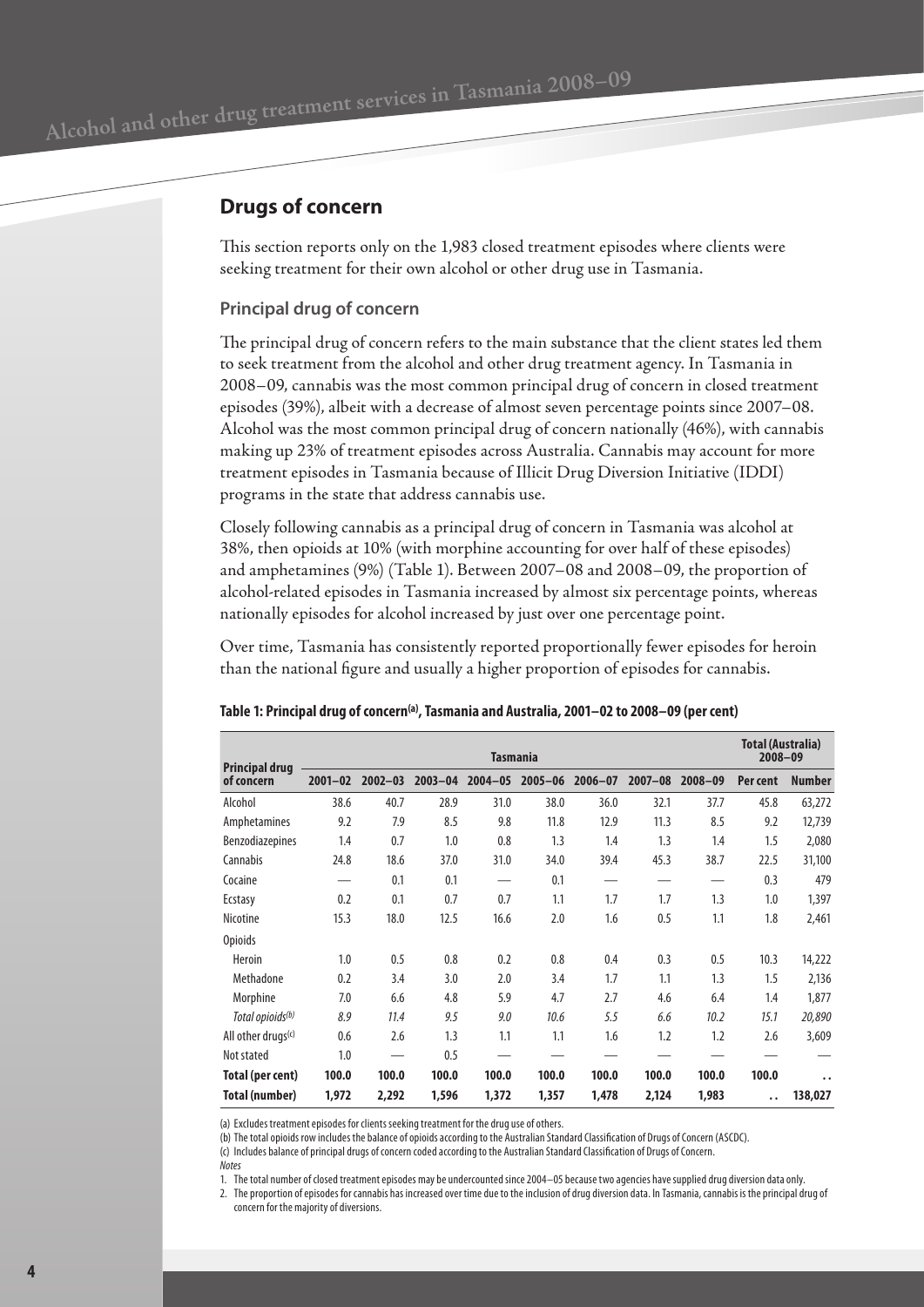## <span id="page-3-0"></span>**Drugs of concern**

This section reports only on the 1,983 closed treatment episodes where clients were seeking treatment for their own alcohol or other drug use in Tasmania.

## **Principal drug of concern**

The principal drug of concern refers to the main substance that the client states led them to seek treatment from the alcohol and other drug treatment agency. In Tasmania in 2008–09, cannabis was the most common principal drug of concern in closed treatment episodes (39%), albeit with a decrease of almost seven percentage points since 2007–08. Alcohol was the most common principal drug of concern nationally (46%), with cannabis making up 23% of treatment episodes across Australia. Cannabis may account for more treatment episodes in Tasmania because of Illicit Drug Diversion Initiative (IDDI) programs in the state that address cannabis use.

Closely following cannabis as a principal drug of concern in Tasmania was alcohol at 38%, then opioids at 10% (with morphine accounting for over half of these episodes) and amphetamines (9%) (Table 1). Between 2007–08 and 2008–09, the proportion of alcohol-related episodes in Tasmania increased by almost six percentage points, whereas nationally episodes for alcohol increased by just over one percentage point.

Over time, Tasmania has consistently reported proportionally fewer episodes for heroin than the national figure and usually a higher proportion of episodes for cannabis.

| <b>Principal drug</b>          | <b>Tasmania</b> |             |             |             |             |             |             |             | <b>Total (Australia)</b><br>$2008 - 09$ |                      |
|--------------------------------|-----------------|-------------|-------------|-------------|-------------|-------------|-------------|-------------|-----------------------------------------|----------------------|
| of concern                     | $2001 - 02$     | $2002 - 03$ | $2003 - 04$ | $2004 - 05$ | $2005 - 06$ | $2006 - 07$ | $2007 - 08$ | $2008 - 09$ | Per cent                                | <b>Number</b>        |
| Alcohol                        | 38.6            | 40.7        | 28.9        | 31.0        | 38.0        | 36.0        | 32.1        | 37.7        | 45.8                                    | 63,272               |
| Amphetamines                   | 9.2             | 7.9         | 8.5         | 9.8         | 11.8        | 12.9        | 11.3        | 8.5         | 9.2                                     | 12,739               |
| Benzodiazepines                | 1.4             | 0.7         | 1.0         | 0.8         | 1.3         | 1.4         | 1.3         | 1.4         | 1.5                                     | 2,080                |
| Cannabis                       | 24.8            | 18.6        | 37.0        | 31.0        | 34.0        | 39.4        | 45.3        | 38.7        | 22.5                                    | 31,100               |
| Cocaine                        |                 | 0.1         | 0.1         |             | 0.1         |             |             |             | 0.3                                     | 479                  |
| Ecstasy                        | 0.2             | 0.1         | 0.7         | 0.7         | 1.1         | 1.7         | 1.7         | 1.3         | 1.0                                     | 1,397                |
| Nicotine                       | 15.3            | 18.0        | 12.5        | 16.6        | 2.0         | 1.6         | 0.5         | 1.1         | 1.8                                     | 2,461                |
| <b>Opioids</b>                 |                 |             |             |             |             |             |             |             |                                         |                      |
| <b>Heroin</b>                  | 1.0             | 0.5         | 0.8         | 0.2         | 0.8         | 0.4         | 0.3         | 0.5         | 10.3                                    | 14,222               |
| Methadone                      | 0.2             | 3.4         | 3.0         | 2.0         | 3.4         | 1.7         | 1.1         | 1.3         | 1.5                                     | 2,136                |
| Morphine                       | 7.0             | 6.6         | 4.8         | 5.9         | 4.7         | 2.7         | 4.6         | 6.4         | 1.4                                     | 1,877                |
| Total opioids <sup>(b)</sup>   | 8.9             | 11.4        | 9.5         | 9.0         | 10.6        | 5.5         | 6.6         | 10.2        | 15.1                                    | 20,890               |
| All other drugs <sup>(c)</sup> | 0.6             | 2.6         | 1.3         | 1.1         | 1.1         | 1.6         | 1.2         | 1.2         | 2.6                                     | 3,609                |
| Not stated                     | 1.0             |             | 0.5         |             |             |             |             |             |                                         |                      |
| Total (per cent)               | 100.0           | 100.0       | 100.0       | 100.0       | 100.0       | 100.0       | 100.0       | 100.0       | 100.0                                   | $\ddot{\phantom{a}}$ |
| Total (number)                 | 1,972           | 2,292       | 1,596       | 1,372       | 1,357       | 1,478       | 2,124       | 1,983       | . .                                     | 138,027              |

#### **Table 1: Principal drug of concern(a), Tasmania and Australia, 2001–02 to 2008–09 (per cent)**

(a) Excludes treatment episodes for clients seeking treatment for the drug use of others.

(b) The total opioids row includes the balance of opioids according to the Australian Standard Classification of Drugs of Concern (ASCDC).

(c) Includes balance of principal drugs of concern coded according to the Australian Standard Classification of Drugs of Concern.

*Notes*

1. The total number of closed treatment episodes may be undercounted since 2004–05 because two agencies have supplied drug diversion data only.

2. The proportion of episodes for cannabis has increased over time due to the inclusion of drug diversion data. In Tasmania, cannabis is the principal drug of concern for the majority of diversions.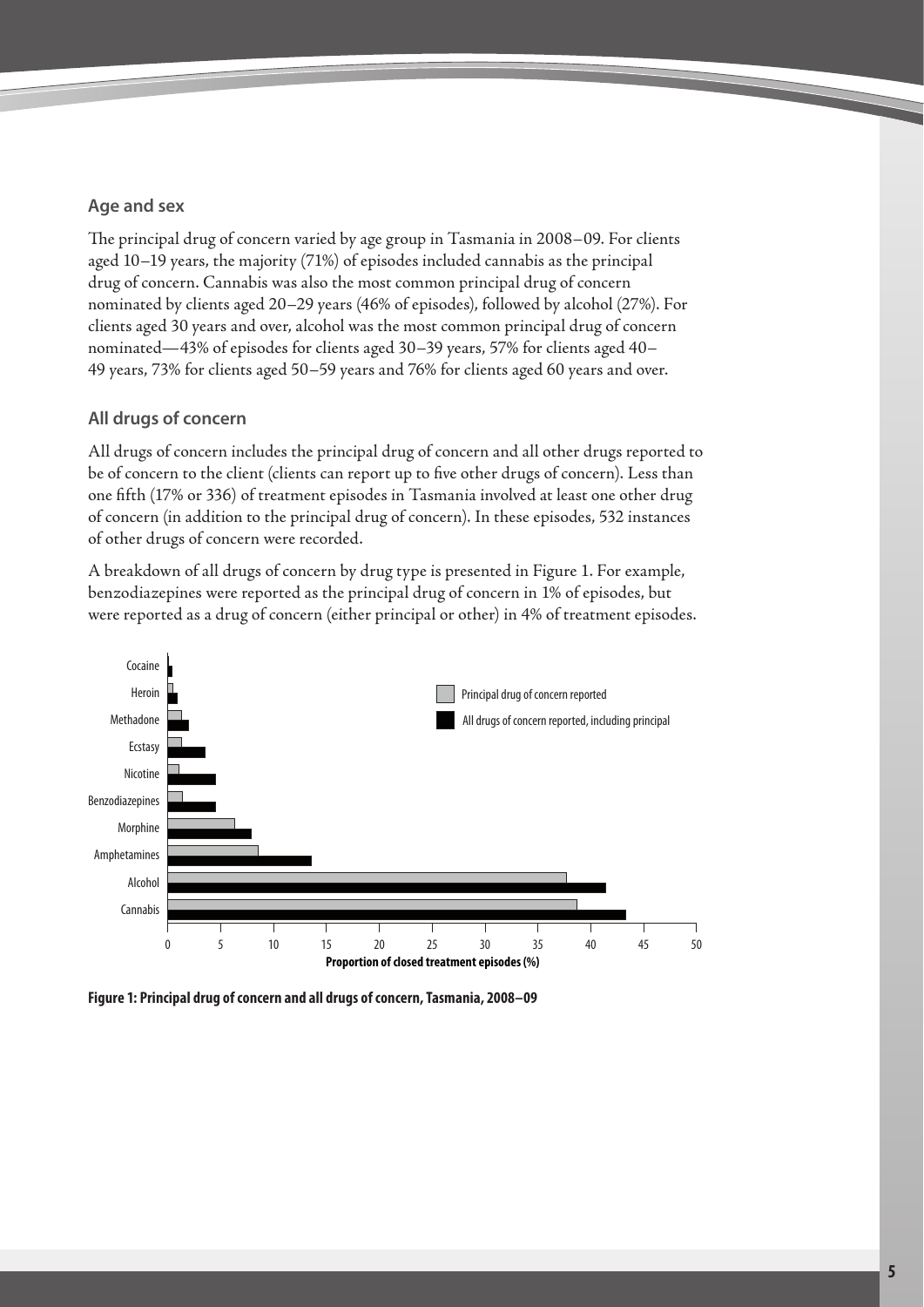## **Age and sex**

The principal drug of concern varied by age group in Tasmania in 2008–09. For clients aged 10–19 years, the majority (71%) of episodes included cannabis as the principal drug of concern. Cannabis was also the most common principal drug of concern nominated by clients aged 20–29 years (46% of episodes), followed by alcohol (27%). For clients aged 30 years and over, alcohol was the most common principal drug of concern nominated—43% of episodes for clients aged 30–39 years, 57% for clients aged 40– 49 years, 73% for clients aged 50–59 years and 76% for clients aged 60 years and over.

## **All drugs of concern**

All drugs of concern includes the principal drug of concern and all other drugs reported to be of concern to the client (clients can report up to five other drugs of concern). Less than one fifth (17% or 336) of treatment episodes in Tasmania involved at least one other drug of concern (in addition to the principal drug of concern). In these episodes, 532 instances of other drugs of concern were recorded.

A breakdown of all drugs of concern by drug type is presented in Figure 1. For example, benzodiazepines were reported as the principal drug of concern in 1% of episodes, but were reported as a drug of concern (either principal or other) in 4% of treatment episodes.



**Figure 1: Principal drug of concern and all drugs of concern, Tasmania, 2008–09**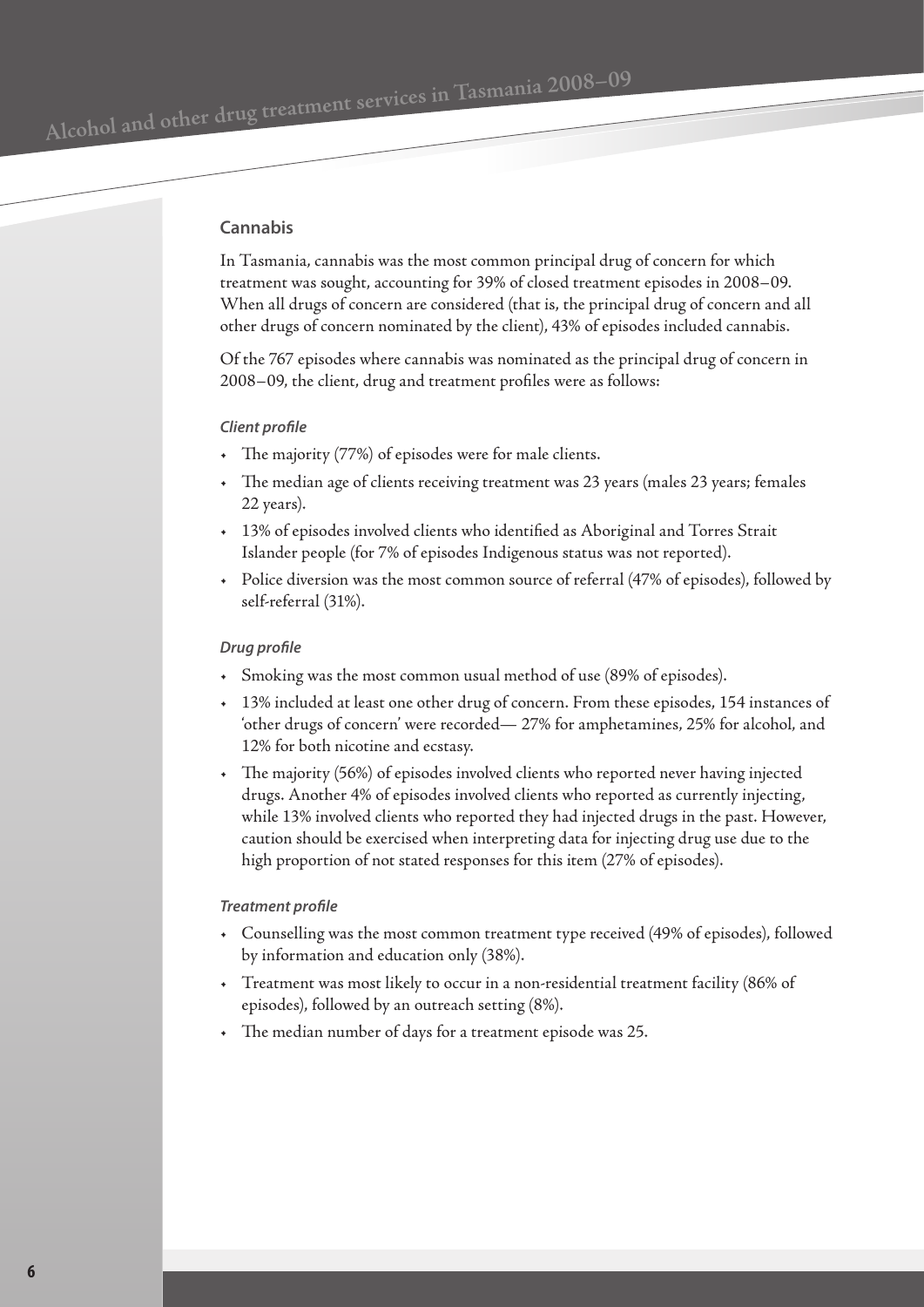## **Cannabis**

In Tasmania, cannabis was the most common principal drug of concern for which treatment was sought, accounting for 39% of closed treatment episodes in 2008–09. When all drugs of concern are considered (that is, the principal drug of concern and all other drugs of concern nominated by the client), 43% of episodes included cannabis.

Of the 767 episodes where cannabis was nominated as the principal drug of concern in 2008–09, the client, drug and treatment profiles were as follows:

#### *Client profile*

- The majority (77%) of episodes were for male clients.
- The median age of clients receiving treatment was 23 years (males 23 years; females 22 years).
- 13% of episodes involved clients who identified as Aboriginal and Torres Strait Islander people (for 7% of episodes Indigenous status was not reported).
- Police diversion was the most common source of referral (47% of episodes), followed by self-referral (31%).

#### *Drug profile*

- Smoking was the most common usual method of use (89% of episodes).
- 13% included at least one other drug of concern. From these episodes, 154 instances of 'other drugs of concern' were recorded— 27% for amphetamines, 25% for alcohol, and 12% for both nicotine and ecstasy.
- The majority (56%) of episodes involved clients who reported never having injected drugs. Another 4% of episodes involved clients who reported as currently injecting, while 13% involved clients who reported they had injected drugs in the past. However, caution should be exercised when interpreting data for injecting drug use due to the high proportion of not stated responses for this item (27% of episodes).

## *Treatment profile*

- Counselling was the most common treatment type received (49% of episodes), followed by information and education only (38%).
- Treatment was most likely to occur in a non-residential treatment facility (86% of episodes), followed by an outreach setting (8%).
- The median number of days for a treatment episode was 25.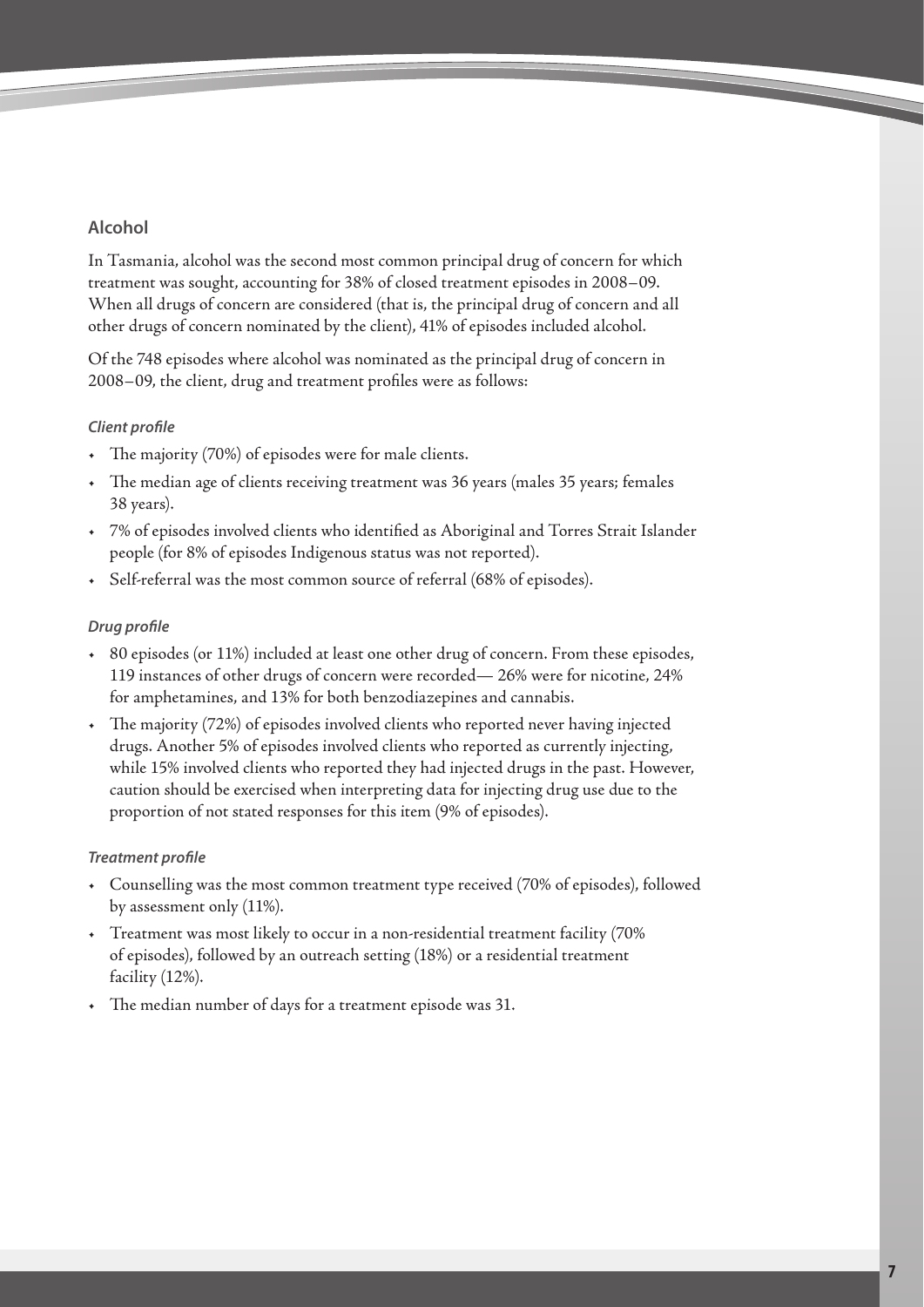## **Alcohol**

In Tasmania, alcohol was the second most common principal drug of concern for which treatment was sought, accounting for 38% of closed treatment episodes in 2008–09. When all drugs of concern are considered (that is, the principal drug of concern and all other drugs of concern nominated by the client), 41% of episodes included alcohol.

Of the 748 episodes where alcohol was nominated as the principal drug of concern in 2008–09, the client, drug and treatment profiles were as follows:

## *Client profile*

- The majority (70%) of episodes were for male clients.
- The median age of clients receiving treatment was 36 years (males 35 years; females 38 years).
- 7% of episodes involved clients who identified as Aboriginal and Torres Strait Islander people (for 8% of episodes Indigenous status was not reported).
- Self-referral was the most common source of referral (68% of episodes).

## *Drug profile*

- 80 episodes (or 11%) included at least one other drug of concern. From these episodes, 119 instances of other drugs of concern were recorded— 26% were for nicotine, 24% for amphetamines, and 13% for both benzodiazepines and cannabis.
- The majority (72%) of episodes involved clients who reported never having injected drugs. Another 5% of episodes involved clients who reported as currently injecting, while 15% involved clients who reported they had injected drugs in the past. However, caution should be exercised when interpreting data for injecting drug use due to the proportion of not stated responses for this item (9% of episodes).

## *Treatment profile*

- Counselling was the most common treatment type received (70% of episodes), followed by assessment only (11%).
- Treatment was most likely to occur in a non-residential treatment facility (70% of episodes), followed by an outreach setting (18%) or a residential treatment facility (12%).
- The median number of days for a treatment episode was 31.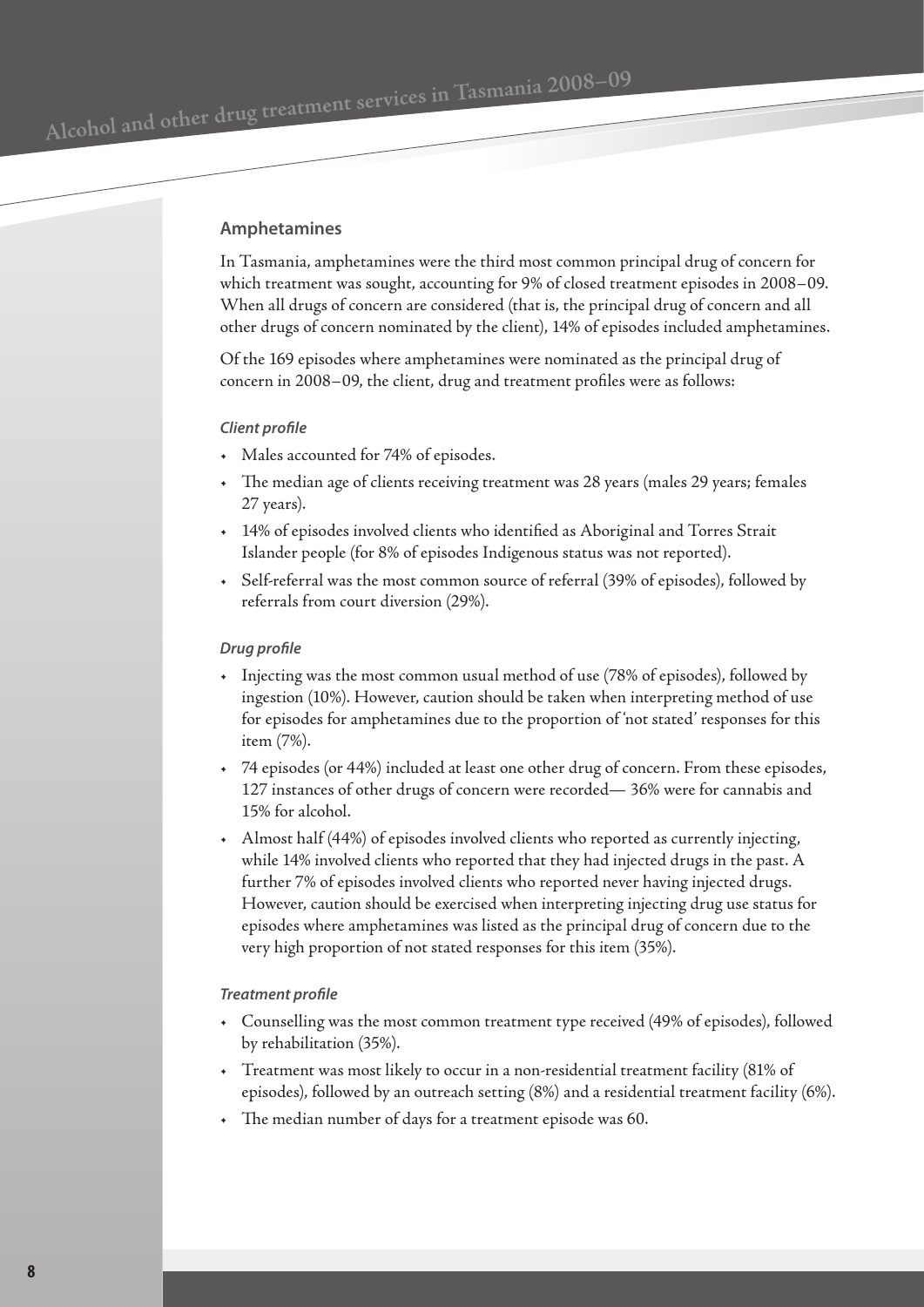### **Amphetamines**

In Tasmania, amphetamines were the third most common principal drug of concern for which treatment was sought, accounting for 9% of closed treatment episodes in 2008–09. When all drugs of concern are considered (that is, the principal drug of concern and all other drugs of concern nominated by the client), 14% of episodes included amphetamines.

Of the 169 episodes where amphetamines were nominated as the principal drug of concern in 2008–09, the client, drug and treatment profiles were as follows:

#### *Client profile*

- Males accounted for 74% of episodes.
- The median age of clients receiving treatment was 28 years (males 29 years; females 27 years).
- 14% of episodes involved clients who identified as Aboriginal and Torres Strait Islander people (for 8% of episodes Indigenous status was not reported).
- Self-referral was the most common source of referral (39% of episodes), followed by referrals from court diversion (29%).

#### *Drug profile*

- Injecting was the most common usual method of use (78% of episodes), followed by ingestion (10%). However, caution should be taken when interpreting method of use for episodes for amphetamines due to the proportion of 'not stated' responses for this item (7%).
- 74 episodes (or 44%) included at least one other drug of concern. From these episodes, 127 instances of other drugs of concern were recorded— 36% were for cannabis and 15% for alcohol.
- Almost half (44%) of episodes involved clients who reported as currently injecting, while 14% involved clients who reported that they had injected drugs in the past. A further 7% of episodes involved clients who reported never having injected drugs. However, caution should be exercised when interpreting injecting drug use status for episodes where amphetamines was listed as the principal drug of concern due to the very high proportion of not stated responses for this item (35%).

#### *Treatment profile*

- Counselling was the most common treatment type received (49% of episodes), followed by rehabilitation (35%).
- Treatment was most likely to occur in a non-residential treatment facility (81% of episodes), followed by an outreach setting (8%) and a residential treatment facility (6%).
- The median number of days for a treatment episode was 60.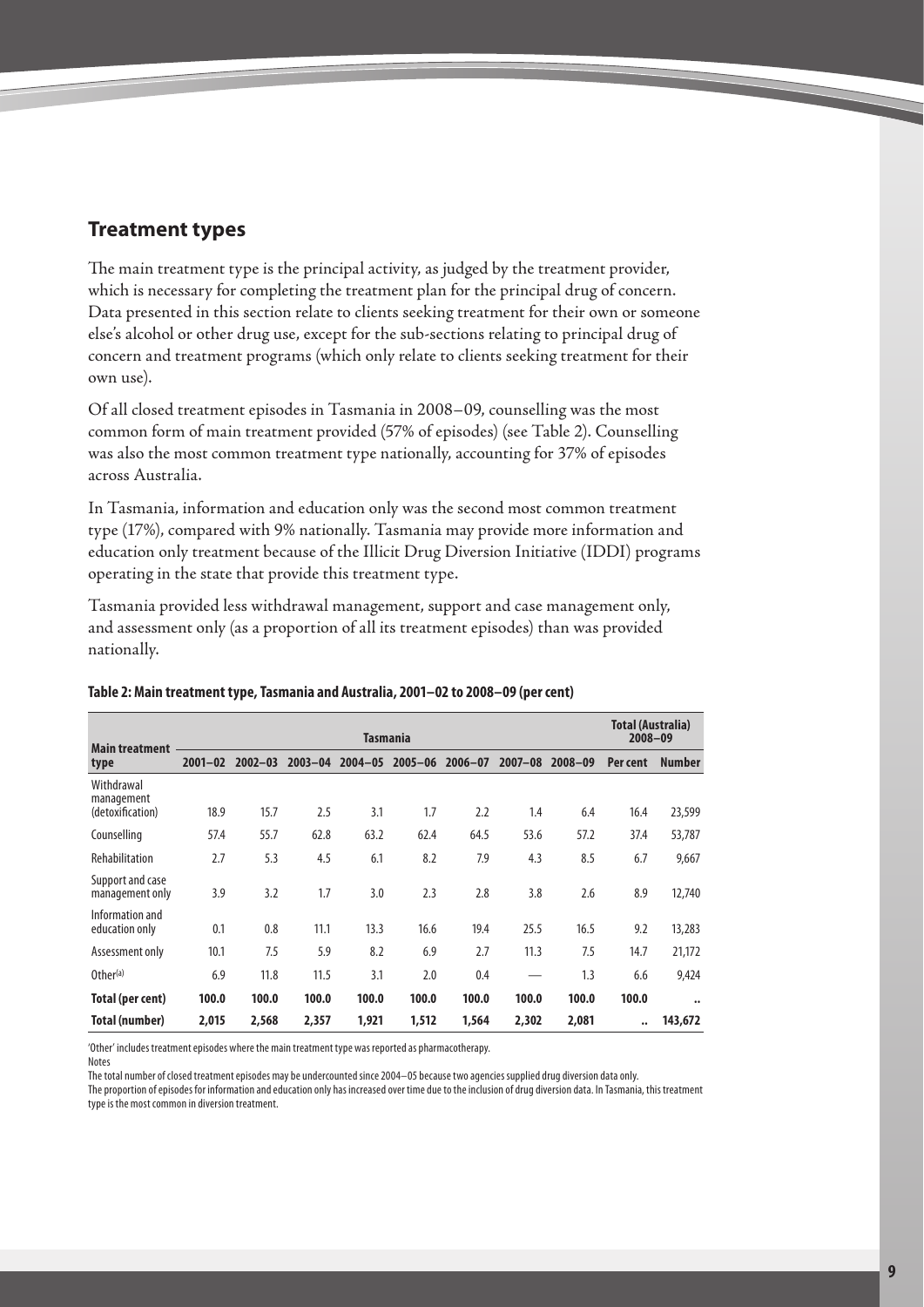# <span id="page-8-0"></span>**Treatment types**

The main treatment type is the principal activity, as judged by the treatment provider, which is necessary for completing the treatment plan for the principal drug of concern. Data presented in this section relate to clients seeking treatment for their own or someone else's alcohol or other drug use, except for the sub-sections relating to principal drug of concern and treatment programs (which only relate to clients seeking treatment for their own use).

Of all closed treatment episodes in Tasmania in 2008–09, counselling was the most common form of main treatment provided (57% of episodes) (see Table 2). Counselling was also the most common treatment type nationally, accounting for 37% of episodes across Australia.

In Tasmania, information and education only was the second most common treatment type (17%), compared with 9% nationally. Tasmania may provide more information and education only treatment because of the Illicit Drug Diversion Initiative (IDDI) programs operating in the state that provide this treatment type.

Tasmania provided less withdrawal management, support and case management only, and assessment only (as a proportion of all its treatment episodes) than was provided nationally.

|                                     |                 |             |             |             |             |             |             |             |          | <b>Total (Australia)</b> |  |
|-------------------------------------|-----------------|-------------|-------------|-------------|-------------|-------------|-------------|-------------|----------|--------------------------|--|
| <b>Main treatment</b>               | <b>Tasmania</b> |             |             |             |             |             |             |             |          | 2008-09                  |  |
| type                                | $2001 - 02$     | $2002 - 03$ | $2003 - 04$ | $2004 - 05$ | $2005 - 06$ | $2006 - 07$ | $2007 - 08$ | $2008 - 09$ | Per cent | <b>Number</b>            |  |
| Withdrawal<br>management            |                 |             |             |             |             |             |             |             |          |                          |  |
| (detoxification)                    | 18.9            | 15.7        | 2.5         | 3.1         | 1.7         | 2.2         | 1.4         | 6.4         | 16.4     | 23,599                   |  |
| Counselling                         | 57.4            | 55.7        | 62.8        | 63.2        | 62.4        | 64.5        | 53.6        | 57.2        | 37.4     | 53,787                   |  |
| Rehabilitation                      | 2.7             | 5.3         | 4.5         | 6.1         | 8.2         | 7.9         | 4.3         | 8.5         | 6.7      | 9,667                    |  |
| Support and case<br>management only | 3.9             | 3.2         | 1.7         | 3.0         | 2.3         | 2.8         | 3.8         | 2.6         | 8.9      | 12,740                   |  |
| Information and<br>education only   | 0.1             | 0.8         | 11.1        | 13.3        | 16.6        | 19.4        | 25.5        | 16.5        | 9.2      | 13,283                   |  |
| Assessment only                     | 10.1            | 7.5         | 5.9         | 8.2         | 6.9         | 2.7         | 11.3        | 7.5         | 14.7     | 21,172                   |  |
| Other <sup>(a)</sup>                | 6.9             | 11.8        | 11.5        | 3.1         | 2.0         | 0.4         |             | 1.3         | 6.6      | 9,424                    |  |
| Total (per cent)                    | 100.0           | 100.0       | 100.0       | 100.0       | 100.0       | 100.0       | 100.0       | 100.0       | 100.0    | $\bullet \bullet$        |  |
| <b>Total (number)</b>               | 2,015           | 2,568       | 2,357       | 1,921       | 1,512       | 1,564       | 2,302       | 2,081       | ۰.       | 143,672                  |  |

#### **Table 2: Main treatment type, Tasmania and Australia, 2001–02 to 2008–09 (per cent)**

'Other' includes treatment episodes where the main treatment type was reported as pharmacotherapy.

Notes The total number of closed treatment episodes may be undercounted since 2004–05 because two agencies supplied drug diversion data only.

The proportion of episodes for information and education only has increased over time due to the inclusion of drug diversion data. In Tasmania, this treatment type is the most common in diversion treatment.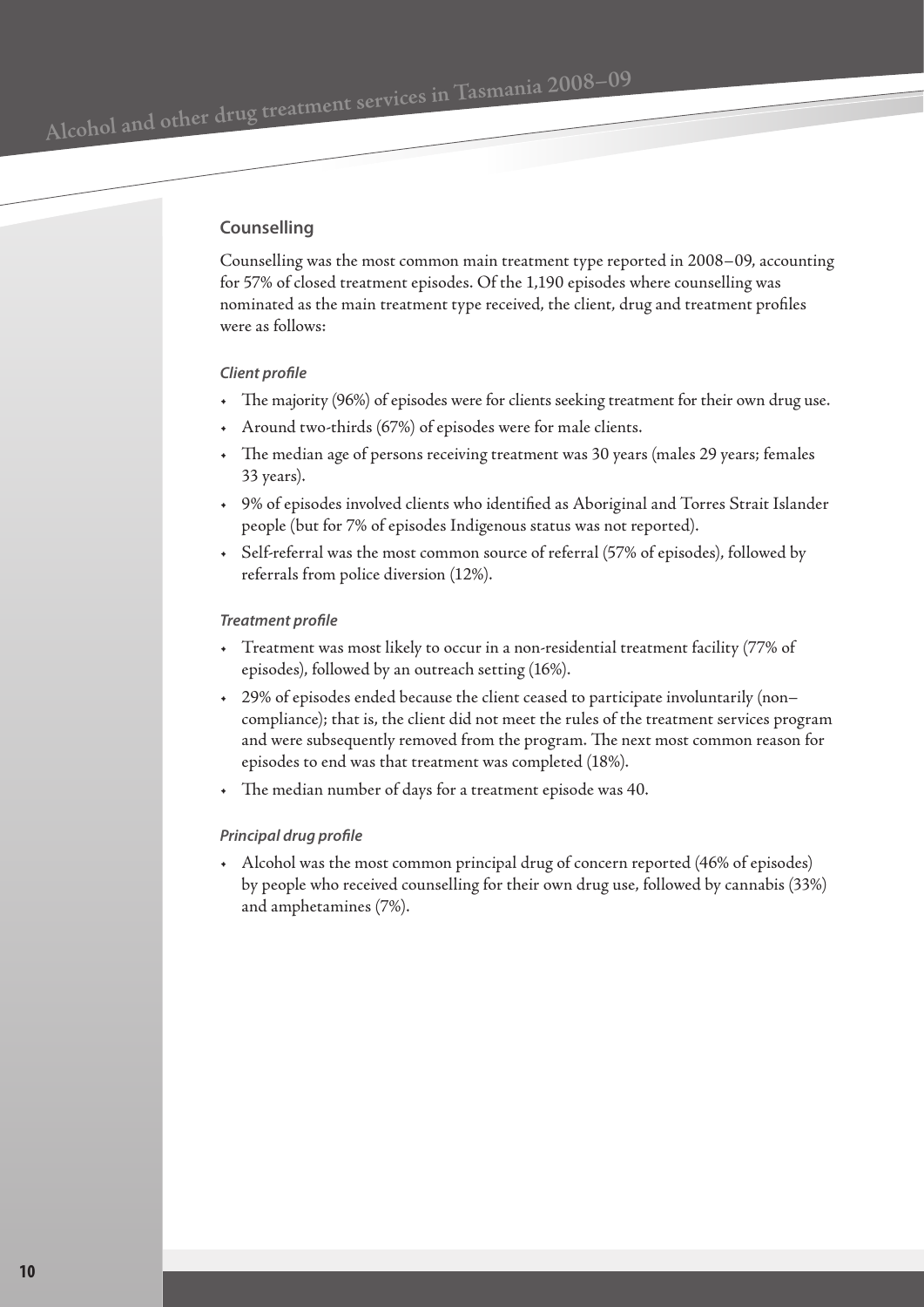Alcohol and other drug treatment services in Tasmania 2008–09

## **Counselling**

Counselling was the most common main treatment type reported in 2008–09, accounting for 57% of closed treatment episodes. Of the 1,190 episodes where counselling was nominated as the main treatment type received, the client, drug and treatment profiles were as follows:

## *Client profile*

- The majority (96%) of episodes were for clients seeking treatment for their own drug use.
- Around two-thirds (67%) of episodes were for male clients.
- The median age of persons receiving treatment was 30 years (males 29 years; females 33 years).
- 9% of episodes involved clients who identified as Aboriginal and Torres Strait Islander people (but for 7% of episodes Indigenous status was not reported).
- Self-referral was the most common source of referral (57% of episodes), followed by referrals from police diversion (12%).

## *Treatment profile*

- Treatment was most likely to occur in a non-residential treatment facility (77% of episodes), followed by an outreach setting (16%).
- 29% of episodes ended because the client ceased to participate involuntarily (non– compliance); that is, the client did not meet the rules of the treatment services program and were subsequently removed from the program. The next most common reason for episodes to end was that treatment was completed (18%).
- The median number of days for a treatment episode was 40.

## *Principal drug profile*

• Alcohol was the most common principal drug of concern reported (46% of episodes) by people who received counselling for their own drug use, followed by cannabis (33%) and amphetamines (7%).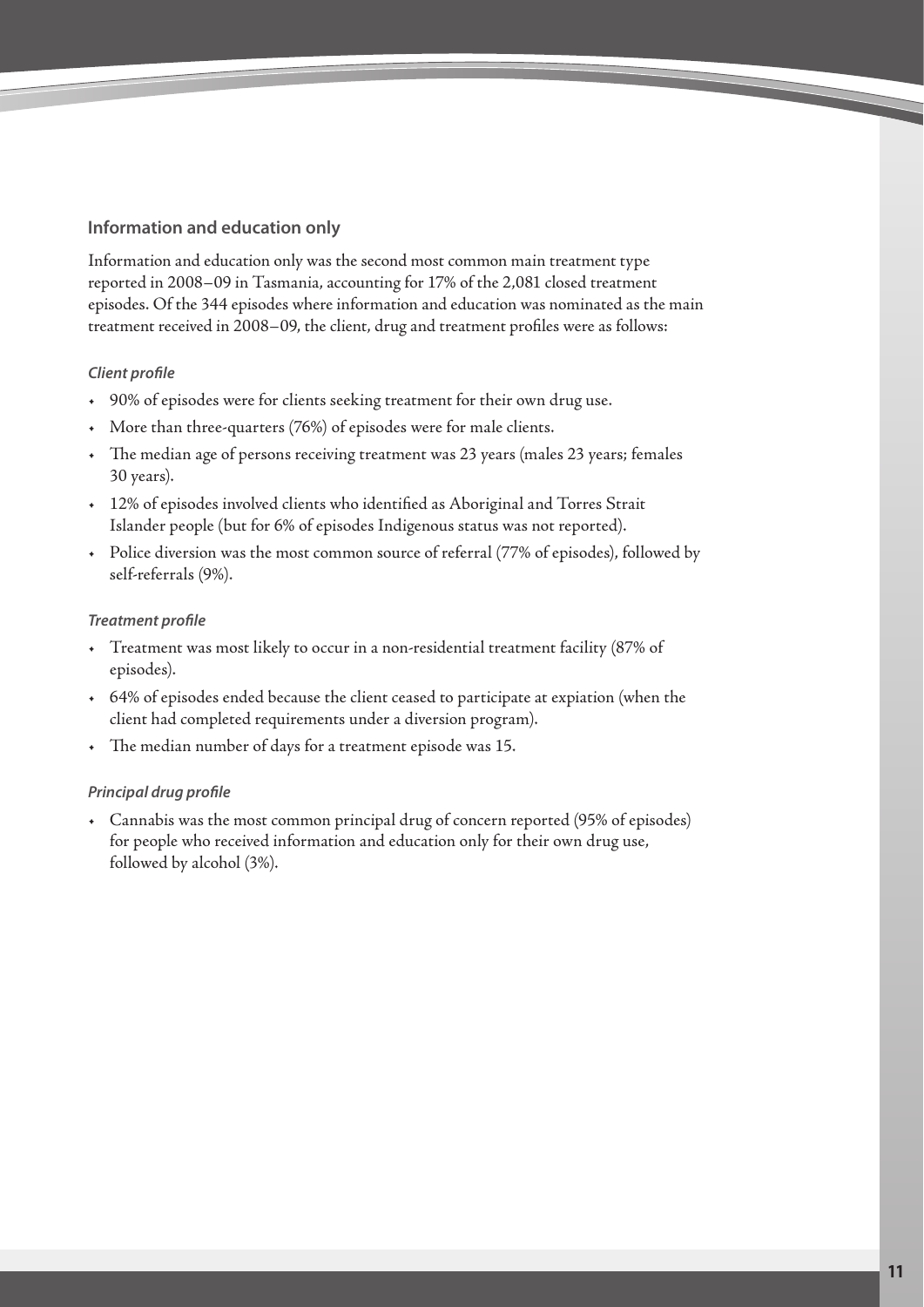## **Information and education only**

Information and education only was the second most common main treatment type reported in 2008–09 in Tasmania, accounting for 17% of the 2,081 closed treatment episodes. Of the 344 episodes where information and education was nominated as the main treatment received in 2008–09, the client, drug and treatment profiles were as follows:

## *Client profile*

- 90% of episodes were for clients seeking treatment for their own drug use.
- More than three-quarters (76%) of episodes were for male clients.
- The median age of persons receiving treatment was 23 years (males 23 years; females 30 years).
- 12% of episodes involved clients who identified as Aboriginal and Torres Strait Islander people (but for 6% of episodes Indigenous status was not reported).
- Police diversion was the most common source of referral (77% of episodes), followed by self-referrals (9%).

## *Treatment profile*

- Treatment was most likely to occur in a non-residential treatment facility (87% of episodes).
- 64% of episodes ended because the client ceased to participate at expiation (when the client had completed requirements under a diversion program).
- The median number of days for a treatment episode was 15.

## *Principal drug profile*

• Cannabis was the most common principal drug of concern reported (95% of episodes) for people who received information and education only for their own drug use, followed by alcohol (3%).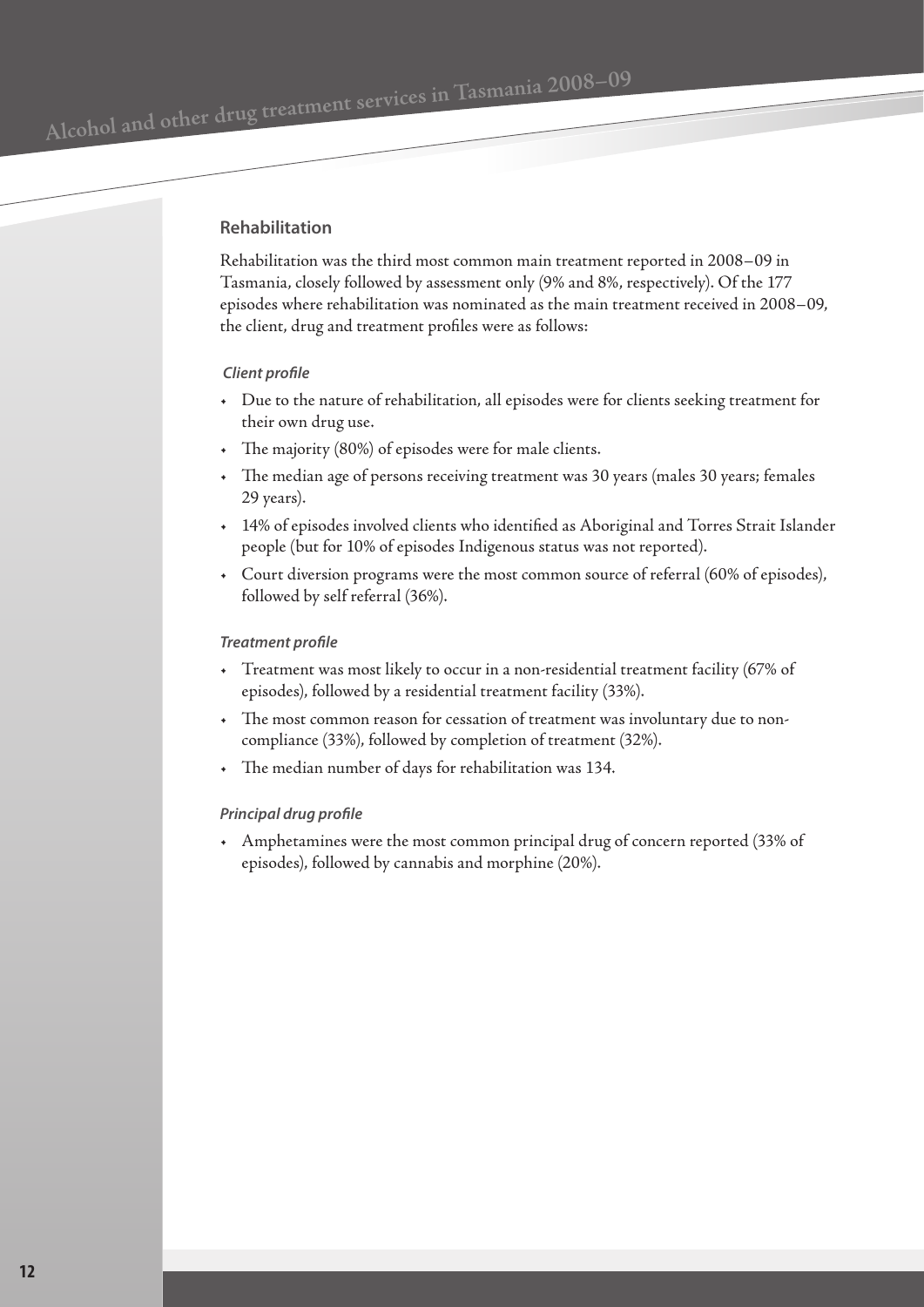## **Rehabilitation**

Rehabilitation was the third most common main treatment reported in 2008–09 in Tasmania, closely followed by assessment only (9% and 8%, respectively). Of the 177 episodes where rehabilitation was nominated as the main treatment received in 2008–09, the client, drug and treatment profiles were as follows:

#### *Client profile*

- Due to the nature of rehabilitation, all episodes were for clients seeking treatment for their own drug use.
- The majority (80%) of episodes were for male clients.
- The median age of persons receiving treatment was 30 years (males 30 years; females 29 years).
- 14% of episodes involved clients who identified as Aboriginal and Torres Strait Islander people (but for 10% of episodes Indigenous status was not reported).
- Court diversion programs were the most common source of referral (60% of episodes), followed by self referral (36%).

#### *Treatment profile*

- Treatment was most likely to occur in a non-residential treatment facility (67% of episodes), followed by a residential treatment facility (33%).
- The most common reason for cessation of treatment was involuntary due to noncompliance (33%), followed by completion of treatment (32%).
- The median number of days for rehabilitation was 134.

#### *Principal drug profile*

• Amphetamines were the most common principal drug of concern reported (33% of episodes), followed by cannabis and morphine (20%).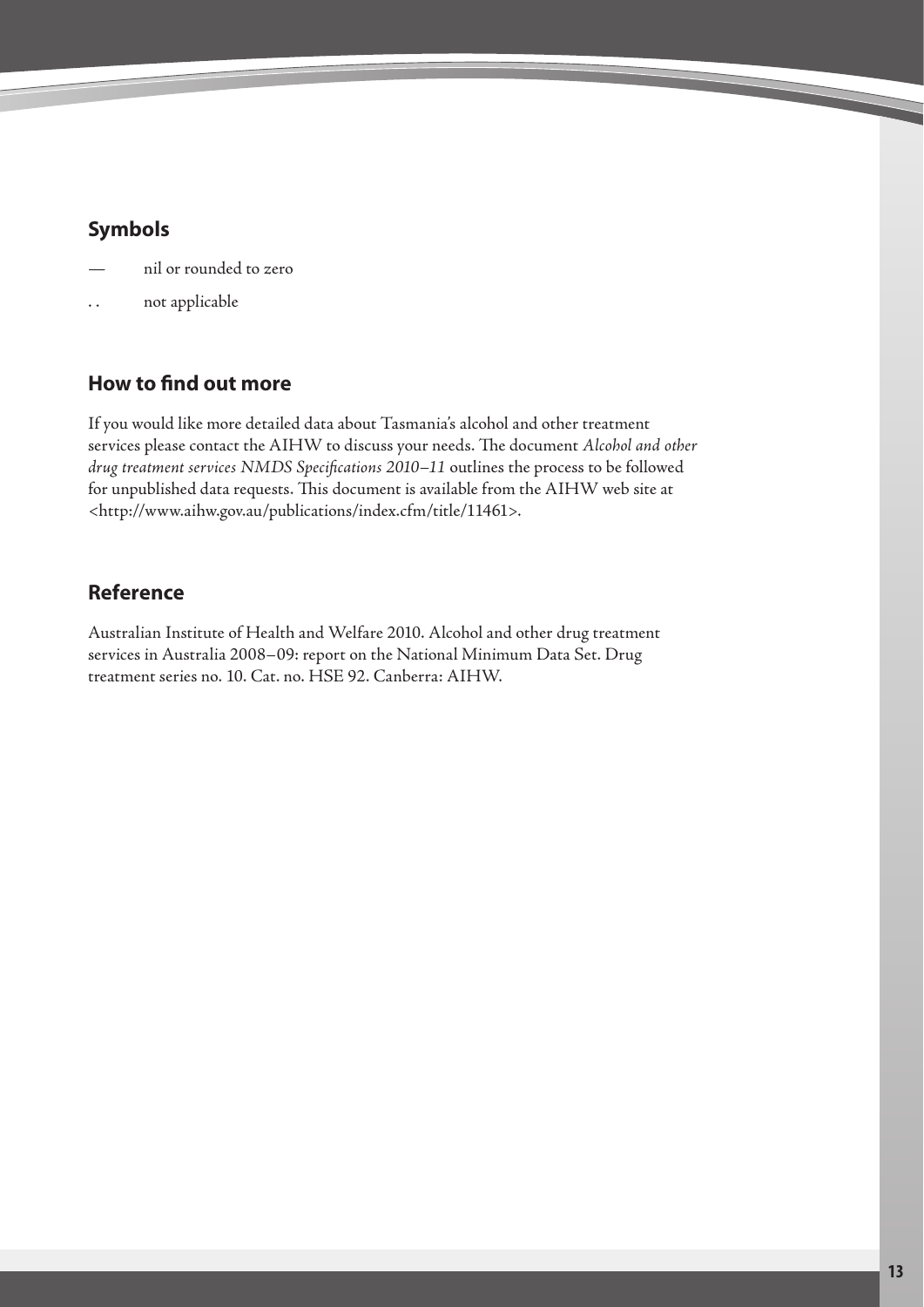# <span id="page-12-0"></span>**Symbols**

- nil or rounded to zero
- not applicable

# **How to find out more**

If you would like more detailed data about Tasmania's alcohol and other treatment services please contact the AIHW to discuss your needs. The document *Alcohol and other drug treatment services NMDS Specifications 2010–11* outlines the process to be followed for unpublished data requests. This document is available from the AIHW web site at <http://www.aihw.gov.au/publications/index.cfm/title/11461>.

# **Reference**

Australian Institute of Health and Welfare 2010. Alcohol and other drug treatment services in Australia 2008–09: report on the National Minimum Data Set. Drug treatment series no. 10. Cat. no. HSE 92. Canberra: AIHW.